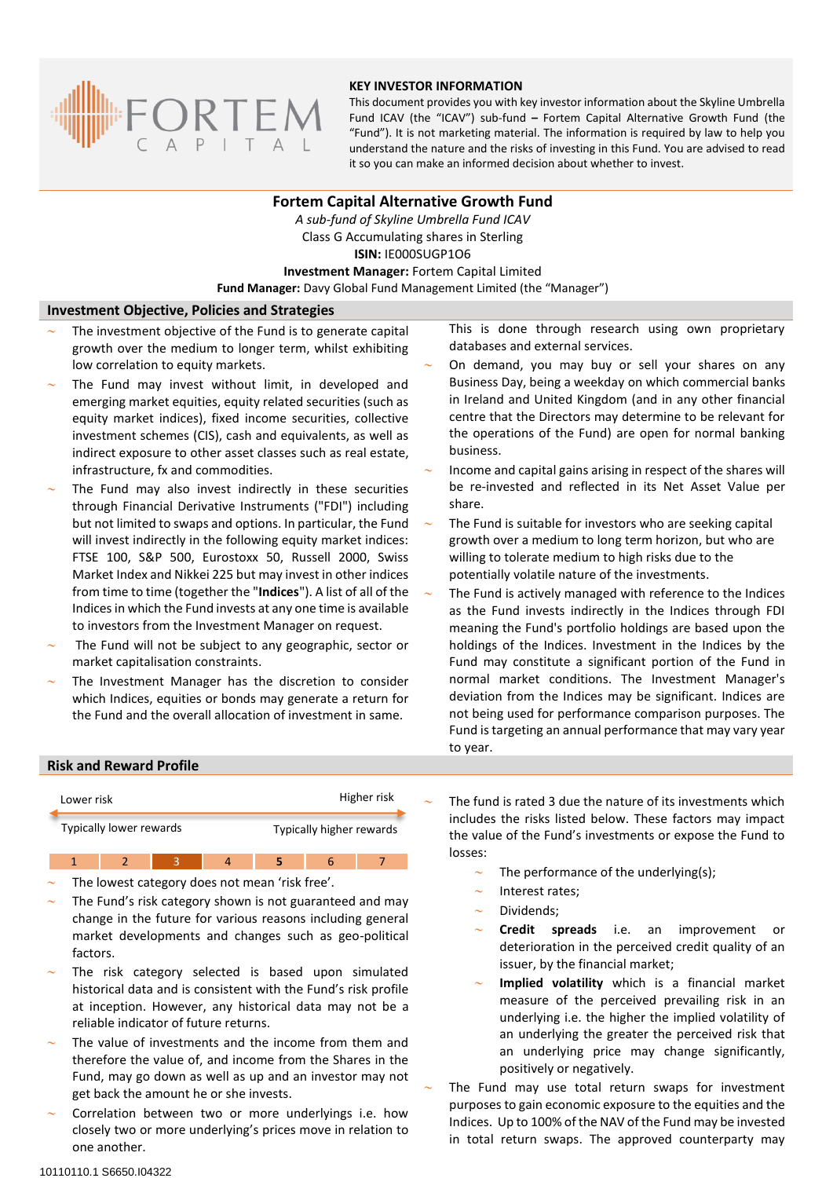

## **KEY INVESTOR INFORMATION**

This document provides you with key investor information about the Skyline Umbrella Fund ICAV (the "ICAV") sub-fund **–** Fortem Capital Alternative Growth Fund (the "Fund"). It is not marketing material. The information is required by law to help you understand the nature and the risks of investing in this Fund. You are advised to read it so you can make an informed decision about whether to invest.

# **Fortem Capital Alternative Growth Fund**

*A sub-fund of Skyline Umbrella Fund ICAV* Class G Accumulating shares in Sterling **ISIN:** IE000SUGP1O6 **Investment Manager:** Fortem Capital Limited **Fund Manager:** Davy Global Fund Management Limited (the "Manager")

## **Investment Objective, Policies and Strategies**

- The investment objective of the Fund is to generate capital growth over the medium to longer term, whilst exhibiting low correlation to equity markets.
- The Fund may invest without limit, in developed and emerging market equities, equity related securities (such as equity market indices), fixed income securities, collective investment schemes (CIS), cash and equivalents, as well as indirect exposure to other asset classes such as real estate, infrastructure, fx and commodities.
- The Fund may also invest indirectly in these securities through Financial Derivative Instruments ("FDI") including but not limited to swaps and options. In particular, the Fund will invest indirectly in the following equity market indices: FTSE 100, S&P 500, Eurostoxx 50, Russell 2000, Swiss Market Index and Nikkei 225 but may invest in other indices from time to time (together the "**Indices**"). A list of all of the Indices in which the Fund invests at any one time is available to investors from the Investment Manager on request.
- The Fund will not be subject to any geographic, sector or market capitalisation constraints.
- The Investment Manager has the discretion to consider which Indices, equities or bonds may generate a return for the Fund and the overall allocation of investment in same.

This is done through research using own proprietary databases and external services.

- On demand, you may buy or sell your shares on any Business Day, being a weekday on which commercial banks in Ireland and United Kingdom (and in any other financial centre that the Directors may determine to be relevant for the operations of the Fund) are open for normal banking business.
- Income and capital gains arising in respect of the shares will be re-invested and reflected in its Net Asset Value per share.
- The Fund is suitable for investors who are seeking capital growth over a medium to long term horizon, but who are willing to tolerate medium to high risks due to the potentially volatile nature of the investments.
- The Fund is actively managed with reference to the Indices as the Fund invests indirectly in the Indices through FDI meaning the Fund's portfolio holdings are based upon the holdings of the Indices. Investment in the Indices by the Fund may constitute a significant portion of the Fund in normal market conditions. The Investment Manager's deviation from the Indices may be significant. Indices are not being used for performance comparison purposes. The Fund is targeting an annual performance that may vary year to year.

## **Risk and Reward Profile**



1 2 3 4 **5** 6 7

- The lowest category does not mean 'risk free'.
- The Fund's risk category shown is not guaranteed and may change in the future for various reasons including general market developments and changes such as geo-political factors.
- The risk category selected is based upon simulated historical data and is consistent with the Fund's risk profile at inception. However, any historical data may not be a reliable indicator of future returns.
- The value of investments and the income from them and therefore the value of, and income from the Shares in the Fund, may go down as well as up and an investor may not get back the amount he or she invests.
- Correlation between two or more underlyings i.e. how closely two or more underlying's prices move in relation to one another.

 The fund is rated 3 due the nature of its investments which includes the risks listed below. These factors may impact the value of the Fund's investments or expose the Fund to losses:

- The performance of the underlying(s);
- Interest rates;
- Dividends;
- **Credit spreads** i.e. an improvement or deterioration in the perceived credit quality of an issuer, by the financial market;
- **Implied volatility** which is a financial market measure of the perceived prevailing risk in an underlying i.e. the higher the implied volatility of an underlying the greater the perceived risk that an underlying price may change significantly, positively or negatively.

 The Fund may use total return swaps for investment purposes to gain economic exposure to the equities and the Indices. Up to 100% of the NAV of the Fund may be invested in total return swaps. The approved counterparty may